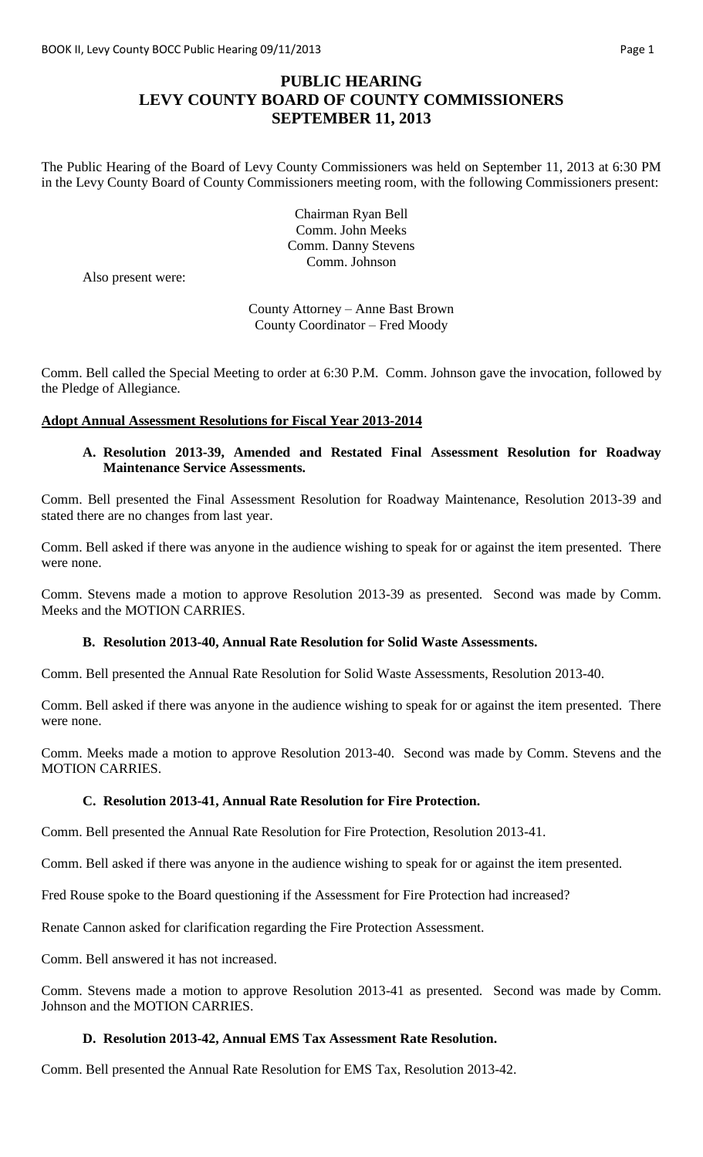# **PUBLIC HEARING LEVY COUNTY BOARD OF COUNTY COMMISSIONERS SEPTEMBER 11, 2013**

The Public Hearing of the Board of Levy County Commissioners was held on September 11, 2013 at 6:30 PM in the Levy County Board of County Commissioners meeting room, with the following Commissioners present:

> Chairman Ryan Bell Comm. John Meeks Comm. Danny Stevens Comm. Johnson

Also present were:

County Attorney – Anne Bast Brown County Coordinator – Fred Moody

Comm. Bell called the Special Meeting to order at 6:30 P.M. Comm. Johnson gave the invocation, followed by the Pledge of Allegiance.

#### **Adopt Annual Assessment Resolutions for Fiscal Year 2013-2014**

### **A. Resolution 2013-39, Amended and Restated Final Assessment Resolution for Roadway Maintenance Service Assessments.**

Comm. Bell presented the Final Assessment Resolution for Roadway Maintenance, Resolution 2013-39 and stated there are no changes from last year.

Comm. Bell asked if there was anyone in the audience wishing to speak for or against the item presented. There were none.

Comm. Stevens made a motion to approve Resolution 2013-39 as presented. Second was made by Comm. Meeks and the MOTION CARRIES.

#### **B. Resolution 2013-40, Annual Rate Resolution for Solid Waste Assessments.**

Comm. Bell presented the Annual Rate Resolution for Solid Waste Assessments, Resolution 2013-40.

Comm. Bell asked if there was anyone in the audience wishing to speak for or against the item presented. There were none.

Comm. Meeks made a motion to approve Resolution 2013-40. Second was made by Comm. Stevens and the MOTION CARRIES.

#### **C. Resolution 2013-41, Annual Rate Resolution for Fire Protection.**

Comm. Bell presented the Annual Rate Resolution for Fire Protection, Resolution 2013-41.

Comm. Bell asked if there was anyone in the audience wishing to speak for or against the item presented.

Fred Rouse spoke to the Board questioning if the Assessment for Fire Protection had increased?

Renate Cannon asked for clarification regarding the Fire Protection Assessment.

Comm. Bell answered it has not increased.

Comm. Stevens made a motion to approve Resolution 2013-41 as presented. Second was made by Comm. Johnson and the MOTION CARRIES.

## **D. Resolution 2013-42, Annual EMS Tax Assessment Rate Resolution.**

Comm. Bell presented the Annual Rate Resolution for EMS Tax, Resolution 2013-42.